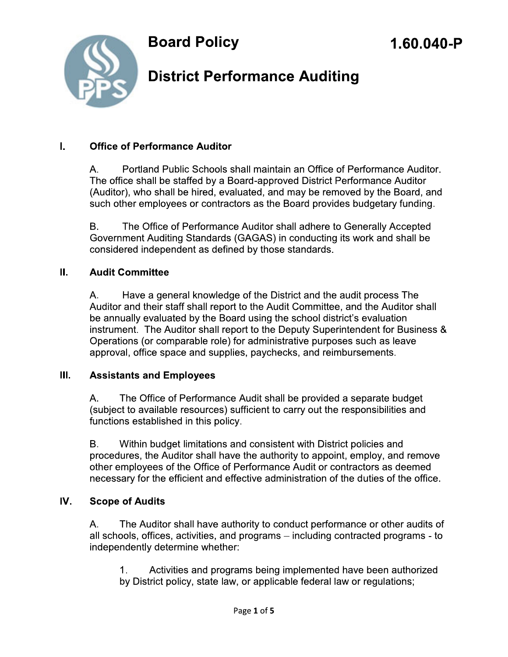

## **District Performance Auditing**

#### Ī. **Office of Performance Auditor**

Portland Public Schools shall maintain an Office of Performance Auditor. A. The office shall be staffed by a Board-approved District Performance Auditor (Auditor), who shall be hired, evaluated, and may be removed by the Board, and such other employees or contractors as the Board provides budgetary funding.

The Office of Performance Auditor shall adhere to Generally Accepted В. Government Auditing Standards (GAGAS) in conducting its work and shall be considered independent as defined by those standards.

#### Ш. **Audit Committee**

А. Have a general knowledge of the District and the audit process The Auditor and their staff shall report to the Audit Committee, and the Auditor shall be annually evaluated by the Board using the school district's evaluation instrument. The Auditor shall report to the Deputy Superintendent for Business & Operations (or comparable role) for administrative purposes such as leave approval, office space and supplies, paychecks, and reimbursements.

#### Ш. **Assistants and Employees**

А. The Office of Performance Audit shall be provided a separate budget (subject to available resources) sufficient to carry out the responsibilities and functions established in this policy.

 $B<sub>1</sub>$ Within budget limitations and consistent with District policies and procedures, the Auditor shall have the authority to appoint, employ, and remove other employees of the Office of Performance Audit or contractors as deemed necessary for the efficient and effective administration of the duties of the office.

#### IV. **Scope of Audits**

А. The Auditor shall have authority to conduct performance or other audits of all schools, offices, activities, and programs – including contracted programs - to independently determine whether:

 $1<sub>1</sub>$ Activities and programs being implemented have been authorized by District policy, state law, or applicable federal law or regulations;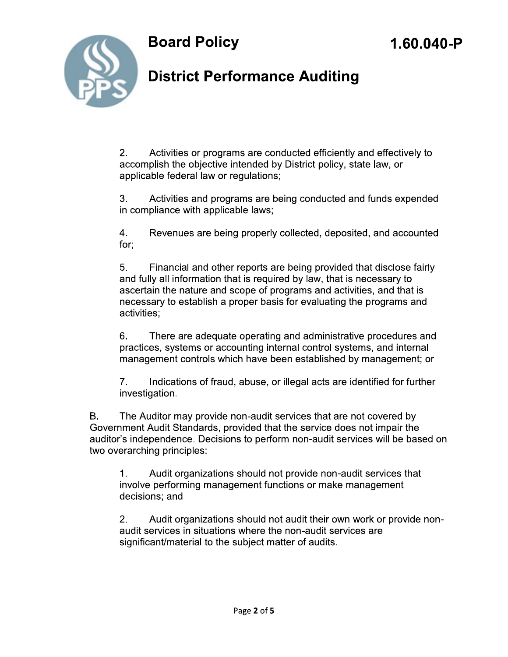



### **District Performance Auditing**

 $2.$ Activities or programs are conducted efficiently and effectively to accomplish the objective intended by District policy, state law, or applicable federal law or regulations;

 $3<sub>1</sub>$ Activities and programs are being conducted and funds expended in compliance with applicable laws;

4. Revenues are being properly collected, deposited, and accounted for:

5. Financial and other reports are being provided that disclose fairly and fully all information that is required by law, that is necessary to ascertain the nature and scope of programs and activities, and that is necessary to establish a proper basis for evaluating the programs and activities:

6. There are adequate operating and administrative procedures and practices, systems or accounting internal control systems, and internal management controls which have been established by management; or

 $7<sub>1</sub>$ Indications of fraud, abuse, or illegal acts are identified for further investigation.

Β. The Auditor may provide non-audit services that are not covered by Government Audit Standards, provided that the service does not impair the auditor's independence. Decisions to perform non-audit services will be based on two overarching principles:

1. Audit organizations should not provide non-audit services that involve performing management functions or make management decisions; and

 $2.$ Audit organizations should not audit their own work or provide nonaudit services in situations where the non-audit services are significant/material to the subject matter of audits.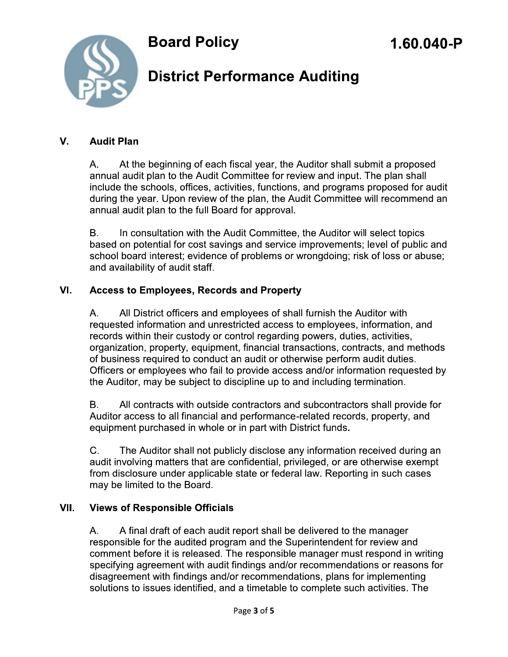

## **District Performance Auditing**

#### V. **Audit Plan**

At the beginning of each fiscal year, the Auditor shall submit a proposed А. annual audit plan to the Audit Committee for review and input. The plan shall include the schools, offices, activities, functions, and programs proposed for audit during the year. Upon review of the plan, the Audit Committee will recommend an annual audit plan to the full Board for approval.

**B.** In consultation with the Audit Committee, the Auditor will select topics based on potential for cost savings and service improvements; level of public and school board interest; evidence of problems or wrongdoing; risk of loss or abuse; and availability of audit staff.

#### VI. **Access to Employees, Records and Property**

Α. All District officers and employees of shall furnish the Auditor with requested information and unrestricted access to employees, information, and records within their custody or control regarding powers, duties, activities, organization, property, equipment, financial transactions, contracts, and methods of business required to conduct an audit or otherwise perform audit duties. Officers or employees who fail to provide access and/or information requested by the Auditor, may be subject to discipline up to and including termination.

В. All contracts with outside contractors and subcontractors shall provide for Auditor access to all financial and performance-related records, property, and equipment purchased in whole or in part with District funds.

C. The Auditor shall not publicly disclose any information received during an audit involving matters that are confidential, privileged, or are otherwise exempt from disclosure under applicable state or federal law. Reporting in such cases may be limited to the Board.

#### VII. **Views of Responsible Officials**

A. A final draft of each audit report shall be delivered to the manager responsible for the audited program and the Superintendent for review and comment before it is released. The responsible manager must respond in writing specifying agreement with audit findings and/or recommendations or reasons for disagreement with findings and/or recommendations, plans for implementing solutions to issues identified, and a timetable to complete such activities. The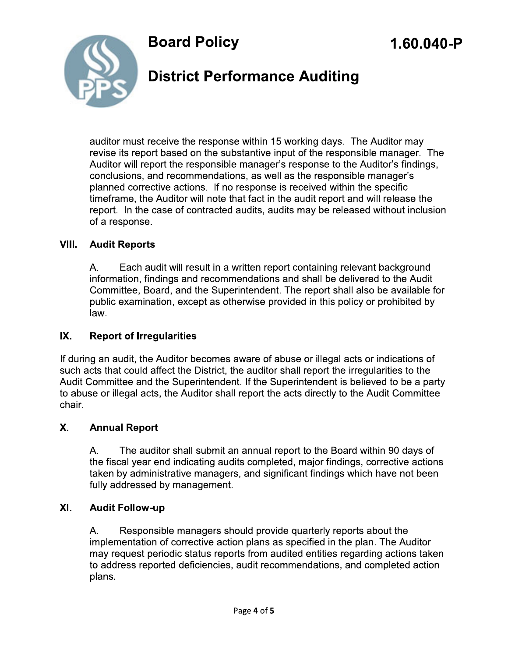

## **District Performance Auditing**

auditor must receive the response within 15 working days. The Auditor may revise its report based on the substantive input of the responsible manager. The Auditor will report the responsible manager's response to the Auditor's findings, conclusions, and recommendations, as well as the responsible manager's planned corrective actions. If no response is received within the specific timeframe, the Auditor will note that fact in the audit report and will release the report. In the case of contracted audits, audits may be released without inclusion of a response.

#### VIII. **Audit Reports**

Α. Each audit will result in a written report containing relevant background information, findings and recommendations and shall be delivered to the Audit Committee, Board, and the Superintendent. The report shall also be available for public examination, except as otherwise provided in this policy or prohibited by law.

### IX. **Report of Irregularities**

If during an audit, the Auditor becomes aware of abuse or illegal acts or indications of such acts that could affect the District, the auditor shall report the irreqularities to the Audit Committee and the Superintendent. If the Superintendent is believed to be a party to abuse or illegal acts, the Auditor shall report the acts directly to the Audit Committee chair.

### Χ. **Annual Report**

The auditor shall submit an annual report to the Board within 90 days of Α. the fiscal year end indicating audits completed, major findings, corrective actions taken by administrative managers, and significant findings which have not been fully addressed by management.

#### XI. **Audit Follow-up**

Responsible managers should provide quarterly reports about the Α. implementation of corrective action plans as specified in the plan. The Auditor may request periodic status reports from audited entities regarding actions taken to address reported deficiencies, audit recommendations, and completed action plans.